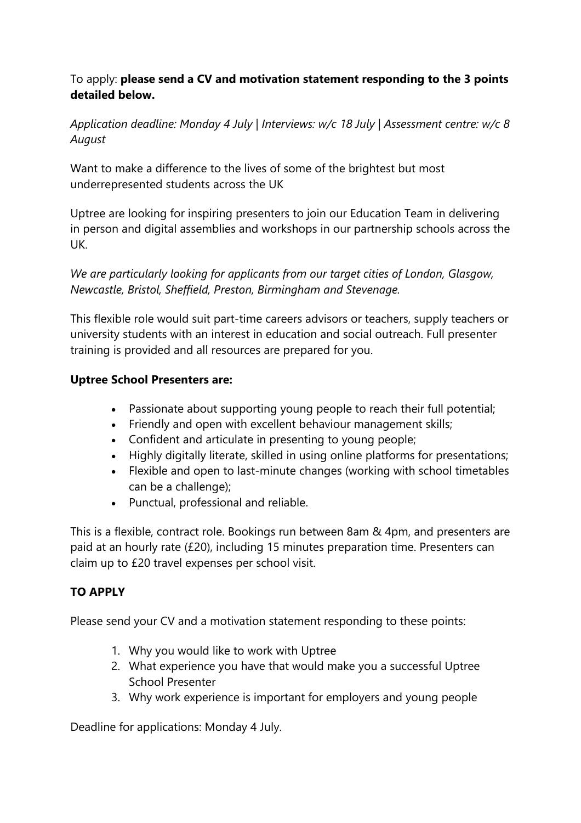# To apply: **please send a CV and motivation statement responding to the 3 points detailed below.**

*Application deadline: Monday 4 July | Interviews: w/c 18 July | Assessment centre: w/c 8 August*

Want to make a difference to the lives of some of the brightest but most underrepresented students across the UK

Uptree are looking for inspiring presenters to join our Education Team in delivering in person and digital assemblies and workshops in our partnership schools across the UK.

*We are particularly looking for applicants from our target cities of London, Glasgow, Newcastle, Bristol, Sheffield, Preston, Birmingham and Stevenage.*

This flexible role would suit part-time careers advisors or teachers, supply teachers or university students with an interest in education and social outreach. Full presenter training is provided and all resources are prepared for you.

## **Uptree School Presenters are:**

- Passionate about supporting young people to reach their full potential;
- Friendly and open with excellent behaviour management skills;
- Confident and articulate in presenting to young people;
- Highly digitally literate, skilled in using online platforms for presentations;
- Flexible and open to last-minute changes (working with school timetables can be a challenge);
- Punctual, professional and reliable.

This is a flexible, contract role. Bookings run between 8am & 4pm, and presenters are paid at an hourly rate (£20), including 15 minutes preparation time. Presenters can claim up to £20 travel expenses per school visit.

### **TO APPLY**

Please send your CV and a motivation statement responding to these points:

- 1. Why you would like to work with Uptree
- 2. What experience you have that would make you a successful Uptree School Presenter
- 3. Why work experience is important for employers and young people

Deadline for applications: Monday 4 July.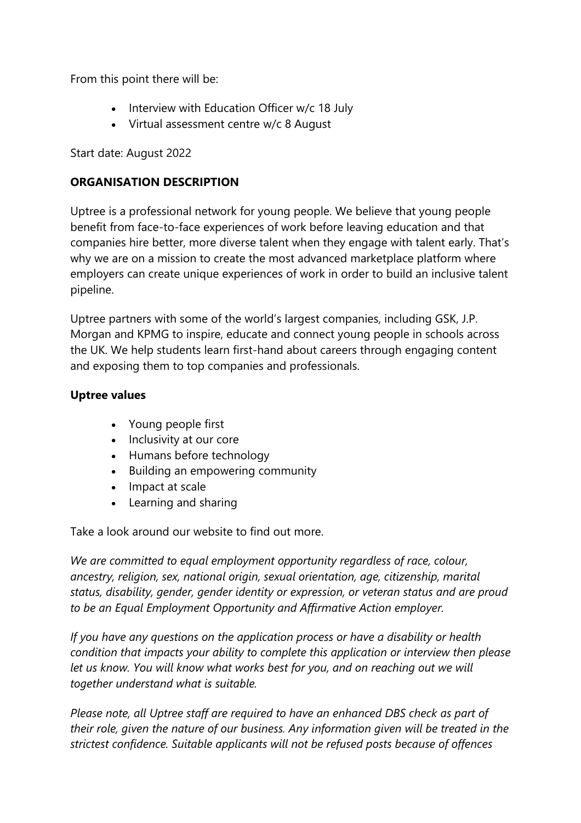From this point there will be:

- Interview with Education Officer w/c 18 July
- Virtual assessment centre w/c 8 August

Start date: August 2022

## **ORGANISATION DESCRIPTION**

Uptree is a professional network for young people. We believe that young people benefit from face-to-face experiences of work before leaving education and that companies hire better, more diverse talent when they engage with talent early. That's why we are on a mission to create the most advanced marketplace platform where employers can create unique experiences of work in order to build an inclusive talent pipeline.

Uptree partners with some of the world's largest companies, including GSK, J.P. Morgan and KPMG to inspire, educate and connect young people in schools across the UK. We help students learn first-hand about careers through engaging content and exposing them to top companies and professionals.

### **Uptree values**

- Young people first
- Inclusivity at our core
- Humans before technology
- Building an empowering community
- Impact at scale
- Learning and sharing

Take a look around our website to find out more.

*We are committed to equal employment opportunity regardless of race, colour, ancestry, religion, sex, national origin, sexual orientation, age, citizenship, marital status, disability, gender, gender identity or expression, or veteran status and are proud to be an Equal Employment Opportunity and Affirmative Action employer.*

*If you have any questions on the application process or have a disability or health condition that impacts your ability to complete this application or interview then please let us know. You will know what works best for you, and on reaching out we will together understand what is suitable.*

*Please note, all Uptree staff are required to have an enhanced DBS check as part of their role, given the nature of our business. Any information given will be treated in the strictest confidence. Suitable applicants will not be refused posts because of offences*